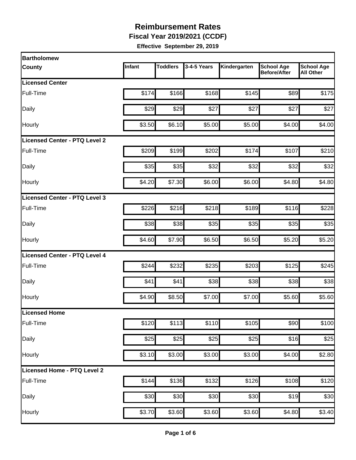**Fiscal Year 2019/2021 (CCDF)** 

| <b>Bartholomew</b>            |        |                 |             |              |                                          |                                       |
|-------------------------------|--------|-----------------|-------------|--------------|------------------------------------------|---------------------------------------|
| <b>County</b>                 | Infant | <b>Toddlers</b> | 3-4-5 Years | Kindergarten | <b>School Age</b><br><b>Before/After</b> | <b>School Age</b><br><b>All Other</b> |
| <b>Licensed Center</b>        |        |                 |             |              |                                          |                                       |
| Full-Time                     | \$174  | \$166           | \$168       | \$145        | \$89                                     | \$175                                 |
| Daily                         | \$29   | \$29            | \$27        | \$27         | \$27                                     | \$27                                  |
| Hourly                        | \$3.50 | \$6.10          | \$5.00      | \$5.00       | \$4.00                                   | \$4.00                                |
| Licensed Center - PTQ Level 2 |        |                 |             |              |                                          |                                       |
| Full-Time                     | \$209  | \$199           | \$202       | \$174        | \$107                                    | \$210                                 |
| Daily                         | \$35   | \$35            | \$32        | \$32         | \$32                                     | \$32                                  |
| Hourly                        | \$4.20 | \$7.30          | \$6.00      | \$6.00       | \$4.80                                   | \$4.80                                |
| Licensed Center - PTQ Level 3 |        |                 |             |              |                                          |                                       |
| Full-Time                     | \$226  | \$216           | \$218       | \$189        | \$116                                    | \$228                                 |
| Daily                         | \$38   | \$38            | \$35        | \$35         | \$35                                     | \$35                                  |
| Hourly                        | \$4.60 | \$7.90          | \$6.50      | \$6.50       | \$5.20                                   | \$5.20                                |
| Licensed Center - PTQ Level 4 |        |                 |             |              |                                          |                                       |
| Full-Time                     | \$244  | \$232           | \$235       | \$203        | \$125                                    | \$245                                 |
| Daily                         | \$41   | \$41            | \$38        | \$38         | \$38                                     | \$38                                  |
| Hourly                        | \$4.90 | \$8.50          | \$7.00      | \$7.00       | \$5.60                                   | \$5.60                                |
| Licensed Home                 |        |                 |             |              |                                          |                                       |
| Full-Time                     | \$120  | \$113           | \$110       | \$105        | \$90                                     | \$100                                 |
| Daily                         | \$25   | \$25            | \$25        | \$25         | \$16                                     | \$25                                  |
| Hourly                        | \$3.10 | \$3.00          | \$3.00      | \$3.00       | \$4.00                                   | \$2.80                                |
| Licensed Home - PTQ Level 2   |        |                 |             |              |                                          |                                       |
| Full-Time                     | \$144  | \$136           | \$132       | \$126        | \$108                                    | \$120                                 |
| Daily                         | \$30   | \$30            | \$30        | \$30         | \$19                                     | \$30                                  |
| Hourly                        | \$3.70 | \$3.60          | \$3.60      | \$3.60       | \$4.80                                   | \$3.40                                |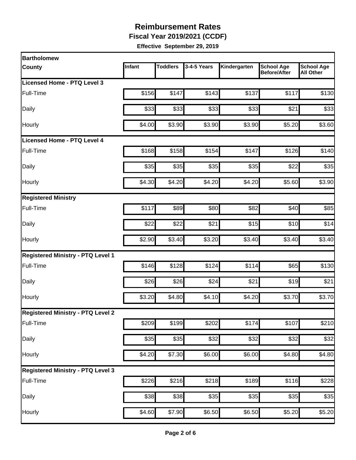**Fiscal Year 2019/2021 (CCDF)** 

| <b>Bartholomew</b>                       |        |                 |             |              |                                          |                                       |
|------------------------------------------|--------|-----------------|-------------|--------------|------------------------------------------|---------------------------------------|
| <b>County</b>                            | Infant | <b>Toddlers</b> | 3-4-5 Years | Kindergarten | <b>School Age</b><br><b>Before/After</b> | <b>School Age</b><br><b>All Other</b> |
| Licensed Home - PTQ Level 3              |        |                 |             |              |                                          |                                       |
| Full-Time                                | \$156  | \$147           | \$143       | \$137        | \$117                                    | \$130                                 |
| Daily                                    | \$33   | \$33            | \$33        | \$33         | \$21                                     | \$33                                  |
| Hourly                                   | \$4.00 | \$3.90          | \$3.90      | \$3.90       | \$5.20                                   | \$3.60                                |
| Licensed Home - PTQ Level 4              |        |                 |             |              |                                          |                                       |
| Full-Time                                | \$168  | \$158           | \$154       | \$147        | \$126                                    | \$140                                 |
| Daily                                    | \$35   | \$35            | \$35        | \$35         | \$22                                     | \$35                                  |
| Hourly                                   | \$4.30 | \$4.20          | \$4.20      | \$4.20       | \$5.60                                   | \$3.90                                |
| <b>Registered Ministry</b>               |        |                 |             |              |                                          |                                       |
| Full-Time                                | \$117  | \$89            | \$80        | \$82         | \$40                                     | \$85                                  |
| Daily                                    | \$22   | \$22            | \$21        | \$15         | \$10                                     | \$14                                  |
| Hourly                                   | \$2.90 | \$3.40          | \$3.20      | \$3.40       | \$3.40                                   | \$3.40                                |
| <b>Registered Ministry - PTQ Level 1</b> |        |                 |             |              |                                          |                                       |
| Full-Time                                | \$146  | \$128           | \$124       | \$114        | \$65                                     | \$130                                 |
| Daily                                    | \$26   | \$26            | \$24        | \$21         | \$19                                     | \$21                                  |
| Hourly                                   | \$3.20 | \$4.80          | \$4.10      | \$4.20       | \$3.70                                   | \$3.70                                |
| <b>Registered Ministry - PTQ Level 2</b> |        |                 |             |              |                                          |                                       |
| Full-Time                                | \$209  | \$199           | \$202       | \$174        | \$107                                    | \$210                                 |
| Daily                                    | \$35   | \$35            | \$32        | \$32         | \$32                                     | \$32                                  |
| Hourly                                   | \$4.20 | \$7.30          | \$6.00      | \$6.00       | \$4.80                                   | \$4.80                                |
| <b>Registered Ministry - PTQ Level 3</b> |        |                 |             |              |                                          |                                       |
| Full-Time                                | \$226  | \$216           | \$218       | \$189        | $\overline{$}116$                        | \$228                                 |
| Daily                                    | \$38   | \$38            | \$35        | \$35         | \$35                                     | \$35                                  |
| Hourly                                   | \$4.60 | \$7.90          | \$6.50      | \$6.50       | \$5.20                                   | \$5.20                                |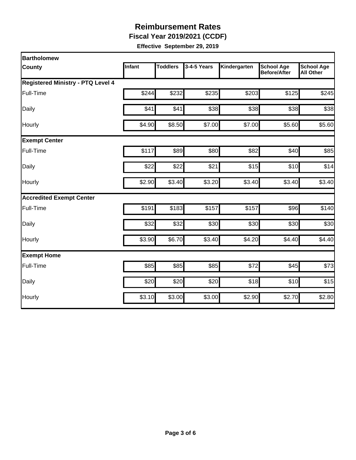**Fiscal Year 2019/2021 (CCDF)** 

| <b>Bartholomew</b>                       |        |                 |             |              |                                          |                                       |
|------------------------------------------|--------|-----------------|-------------|--------------|------------------------------------------|---------------------------------------|
| <b>County</b>                            | Infant | <b>Toddlers</b> | 3-4-5 Years | Kindergarten | <b>School Age</b><br><b>Before/After</b> | <b>School Age</b><br><b>All Other</b> |
| <b>Registered Ministry - PTQ Level 4</b> |        |                 |             |              |                                          |                                       |
| Full-Time                                | \$244  | \$232           | \$235       | \$203        | \$125                                    | \$245                                 |
| Daily                                    | \$41   | \$41            | \$38        | \$38         | \$38                                     | \$38                                  |
| Hourly                                   | \$4.90 | \$8.50          | \$7.00      | \$7.00       | \$5.60                                   | \$5.60                                |
| <b>Exempt Center</b>                     |        |                 |             |              |                                          |                                       |
| Full-Time                                | \$117  | \$89            | \$80        | \$82         | \$40                                     | \$85                                  |
| Daily                                    | \$22   | \$22            | \$21        | \$15         | \$10                                     | \$14                                  |
| Hourly                                   | \$2.90 | \$3.40          | \$3.20      | \$3.40       | \$3.40                                   | \$3.40                                |
| <b>Accredited Exempt Center</b>          |        |                 |             |              |                                          |                                       |
| Full-Time                                | \$191  | \$183           | \$157       | \$157        | \$96                                     | \$140                                 |
| Daily                                    | \$32   | \$32            | \$30        | \$30         | \$30                                     | \$30                                  |
| Hourly                                   | \$3.90 | \$6.70          | \$3.40      | \$4.20       | \$4.40                                   | \$4.40                                |
| <b>Exempt Home</b>                       |        |                 |             |              |                                          |                                       |
| Full-Time                                | \$85   | \$85            | \$85        | \$72         | \$45                                     | \$73                                  |
| Daily                                    | \$20   | \$20            | \$20        | \$18         | \$10                                     | \$15                                  |
| Hourly                                   | \$3.10 | \$3.00          | \$3.00      | \$2.90       | \$2.70                                   | \$2.80                                |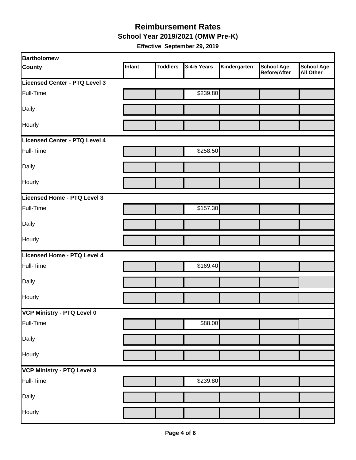#### **Reimbursement Rates School Year 2019/2021 (OMW Pre-K)**

| <b>Bartholomew</b>                |        |                 |             |              |                                          |                                       |
|-----------------------------------|--------|-----------------|-------------|--------------|------------------------------------------|---------------------------------------|
| <b>County</b>                     | Infant | <b>Toddlers</b> | 3-4-5 Years | Kindergarten | <b>School Age</b><br><b>Before/After</b> | <b>School Age</b><br><b>All Other</b> |
| Licensed Center - PTQ Level 3     |        |                 |             |              |                                          |                                       |
| Full-Time                         |        |                 | \$239.80    |              |                                          |                                       |
| Daily                             |        |                 |             |              |                                          |                                       |
| Hourly                            |        |                 |             |              |                                          |                                       |
| Licensed Center - PTQ Level 4     |        |                 |             |              |                                          |                                       |
| Full-Time                         |        |                 | \$258.50    |              |                                          |                                       |
| Daily                             |        |                 |             |              |                                          |                                       |
| Hourly                            |        |                 |             |              |                                          |                                       |
| Licensed Home - PTQ Level 3       |        |                 |             |              |                                          |                                       |
| Full-Time                         |        |                 | \$157.30    |              |                                          |                                       |
| Daily                             |        |                 |             |              |                                          |                                       |
| Hourly                            |        |                 |             |              |                                          |                                       |
| Licensed Home - PTQ Level 4       |        |                 |             |              |                                          |                                       |
| Full-Time                         |        |                 | \$169.40    |              |                                          |                                       |
| Daily                             |        |                 |             |              |                                          |                                       |
| Hourly                            |        |                 |             |              |                                          |                                       |
| VCP Ministry - PTQ Level 0        |        |                 |             |              |                                          |                                       |
| Full-Time                         |        |                 | \$88.00     |              |                                          |                                       |
| Daily                             |        |                 |             |              |                                          |                                       |
| Hourly                            |        |                 |             |              |                                          |                                       |
| <b>VCP Ministry - PTQ Level 3</b> |        |                 |             |              |                                          |                                       |
| Full-Time                         |        |                 | \$239.80    |              |                                          |                                       |
| Daily                             |        |                 |             |              |                                          |                                       |
| Hourly                            |        |                 |             |              |                                          |                                       |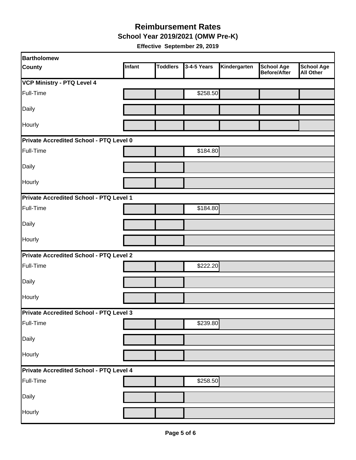**School Year 2019/2021 (OMW Pre-K)** 

| <b>Bartholomew</b>                             |        |                 |             |              |                                   |                                       |
|------------------------------------------------|--------|-----------------|-------------|--------------|-----------------------------------|---------------------------------------|
| <b>County</b>                                  | Infant | <b>Toddlers</b> | 3-4-5 Years | Kindergarten | <b>School Age</b><br>Before/After | <b>School Age</b><br><b>All Other</b> |
| <b>VCP Ministry - PTQ Level 4</b>              |        |                 |             |              |                                   |                                       |
| Full-Time                                      |        |                 | \$258.50    |              |                                   |                                       |
| Daily                                          |        |                 |             |              |                                   |                                       |
| Hourly                                         |        |                 |             |              |                                   |                                       |
| Private Accredited School - PTQ Level 0        |        |                 |             |              |                                   |                                       |
| Full-Time                                      |        |                 | \$184.80    |              |                                   |                                       |
| Daily                                          |        |                 |             |              |                                   |                                       |
| Hourly                                         |        |                 |             |              |                                   |                                       |
| <b>Private Accredited School - PTQ Level 1</b> |        |                 |             |              |                                   |                                       |
| Full-Time                                      |        |                 | \$184.80    |              |                                   |                                       |
| Daily                                          |        |                 |             |              |                                   |                                       |
| Hourly                                         |        |                 |             |              |                                   |                                       |
| Private Accredited School - PTQ Level 2        |        |                 |             |              |                                   |                                       |
| Full-Time                                      |        |                 | \$222.20    |              |                                   |                                       |
| Daily                                          |        |                 |             |              |                                   |                                       |
| Hourly                                         |        |                 |             |              |                                   |                                       |
| <b>Private Accredited School - PTQ Level 3</b> |        |                 |             |              |                                   |                                       |
| Full-Time                                      |        |                 | \$239.80    |              |                                   |                                       |
| Daily                                          |        |                 |             |              |                                   |                                       |
| Hourly                                         |        |                 |             |              |                                   |                                       |
| Private Accredited School - PTQ Level 4        |        |                 |             |              |                                   |                                       |
| Full-Time                                      |        |                 | \$258.50    |              |                                   |                                       |
| Daily                                          |        |                 |             |              |                                   |                                       |
| Hourly                                         |        |                 |             |              |                                   |                                       |